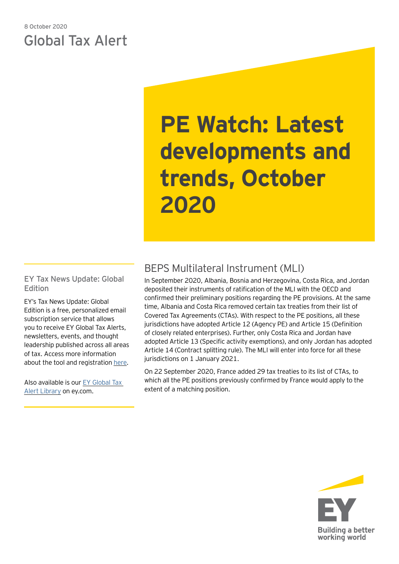## 8 October 2020 Global Tax Alert

# **PE Watch: Latest developments and trends, October 2020**

EY Tax News Update: Global Edition

EY's Tax News Update: Global Edition is a free, personalized email subscription service that allows you to receive EY Global Tax Alerts, newsletters, events, and thought leadership published across all areas of tax. Access more information about the tool and registration [here](https://globaltaxnews.ey.com/Register/Register.aspx).

Also available is our [EY Global Tax](https://www.ey.com/en_gl/tax-alerts)  [Alert Library](https://www.ey.com/en_gl/tax-alerts) on ey.com.

# BEPS Multilateral Instrument (MLI)

In September 2020, Albania, Bosnia and Herzegovina, Costa Rica, and Jordan deposited their instruments of ratification of the MLI with the OECD and confirmed their preliminary positions regarding the PE provisions. At the same time, Albania and Costa Rica removed certain tax treaties from their list of Covered Tax Agreements (CTAs). With respect to the PE positions, all these jurisdictions have adopted Article 12 (Agency PE) and Article 15 (Definition of closely related enterprises). Further, only Costa Rica and Jordan have adopted Article 13 (Specific activity exemptions), and only Jordan has adopted Article 14 (Contract splitting rule). The MLI will enter into force for all these jurisdictions on 1 January 2021.

On 22 September 2020, France added 29 tax treaties to its list of CTAs, to which all the PE positions previously confirmed by France would apply to the extent of a matching position.

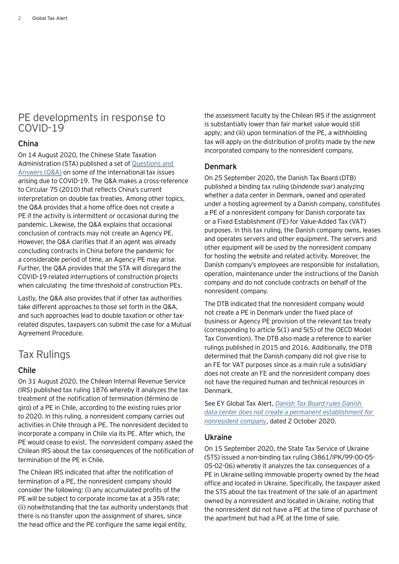## PE developments in response to COVID-19

## China

On 14 August 2020, the Chinese State Taxation Administration (STA) published a set of [Questions and](http://www.chinatax.gov.cn/chinatax/n810219/n810744/c101510/c101520/c5155584/content.html)  [Answers \(Q&A\)](http://www.chinatax.gov.cn/chinatax/n810219/n810744/c101510/c101520/c5155584/content.html) on some of the international tax issues arising due to COVID-19. The Q&A makes a cross-reference to Circular 75 (2010) that reflects China's current interpretation on double tax treaties. Among other topics, the Q&A provides that a home office does not create a PE if the activity is intermittent or occasional during the pandemic. Likewise, the Q&A explains that occasional conclusion of contracts may not create an Agency PE. However, the Q&A clarifies that if an agent was already concluding contracts in China before the pandemic for a considerable period of time, an Agency PE may arise. Further, the Q&A provides that the STA will disregard the COVID-19 related interruptions of construction projects when calculating the time threshold of construction PEs.

Lastly, the Q&A also provides that if other tax authorities take different approaches to those set forth in the Q&A, and such approaches lead to double taxation or other taxrelated disputes, taxpayers can submit the case for a Mutual Agreement Procedure.

## Tax Rulings

## Chile

On 31 August 2020, the Chilean Internal Revenue Service (IRS) published tax ruling 1876 whereby it analyzes the tax treatment of the notification of termination (término de giro) of a PE in Chile, according to the existing rules prior to 2020. In this ruling, a nonresident company carries out activities in Chile through a PE. The nonresident decided to incorporate a company in Chile via its PE. After which, the PE would cease to exist. The nonresident company asked the Chilean IRS about the tax consequences of the notification of termination of the PE in Chile.

The Chilean IRS indicated that after the notification of termination of a PE, the nonresident company should consider the following: (i) any accumulated profits of the PE will be subject to corporate income tax at a 35% rate; (ii) notwithstanding that the tax authority understands that there is no transfer upon the assignment of shares, since the head office and the PE configure the same legal entity,

the assessment faculty by the Chilean IRS if the assignment is substantially lower than fair market value would still apply; and (iii) upon termination of the PE, a withholding tax will apply on the distribution of profits made by the new incorporated company to the nonresident company.

## Denmark

On 25 September 2020, the Danish Tax Board (DTB) published a binding tax ruling (*bindende svar*) analyzing whether a data center in Denmark, owned and operated under a hosting agreement by a Danish company, constitutes a PE of a nonresident company for Danish corporate tax or a Fixed Establishment (FE) for Value-Added Tax (VAT) purposes. In this tax ruling, the Danish company owns, leases and operates servers and other equipment. The servers and other equipment will be used by the nonresident company for hosting the website and related activity. Moreover, the Danish company's employees are responsible for installation, operation, maintenance under the instructions of the Danish company and do not conclude contracts on behalf of the nonresident company.

The DTB indicated that the nonresident company would not create a PE in Denmark under the fixed place of business or Agency PE provision of the relevant tax treaty (corresponding to article 5(1) and 5(5) of the OECD Model Tax Convention). The DTB also made a reference to earlier rulings published in 2015 and 2016. Additionally, the DTB determined that the Danish company did not give rise to an FE for VAT purposes since as a main rule a subsidiary does not create an FE and the nonresident company does not have the required human and technical resources in Denmark.

See EY Global Tax Alert, *[Danish Tax Board rules Danish](https://taxnews.ey.com/news/2020-2390-danish-tax-board-rules-danish-data-center-does-not-create-a-permanent-establishment-for-nonresident-company#:~:text=The%20Danish%20Tax%20Board%20has,added%20tax%20(VAT)%20purposes.)  [data center does not create a permanent establishment for](https://taxnews.ey.com/news/2020-2390-danish-tax-board-rules-danish-data-center-does-not-create-a-permanent-establishment-for-nonresident-company#:~:text=The%20Danish%20Tax%20Board%20has,added%20tax%20(VAT)%20purposes.)  [nonresident company](https://taxnews.ey.com/news/2020-2390-danish-tax-board-rules-danish-data-center-does-not-create-a-permanent-establishment-for-nonresident-company#:~:text=The%20Danish%20Tax%20Board%20has,added%20tax%20(VAT)%20purposes.)*, dated 2 October 2020.

## Ukraine

On 15 September 2020, the State Tax Service of Ukraine (STS) issued a non-binding tax ruling (3861/IPK/99-00-05- 05-02-06) whereby it analyzes the tax consequences of a PE in Ukraine selling immovable property owned by the head office and located in Ukraine. Specifically, the taxpayer asked the STS about the tax treatment of the sale of an apartment owned by a nonresident and located in Ukraine, noting that the nonresident did not have a PE at the time of purchase of the apartment but had a PE at the time of sale.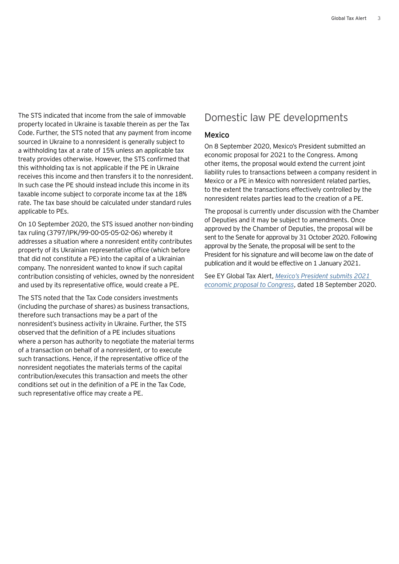The STS indicated that income from the sale of immovable property located in Ukraine is taxable therein as per the Tax Code. Further, the STS noted that any payment from income sourced in Ukraine to a nonresident is generally subject to a withholding tax at a rate of 15% unless an applicable tax treaty provides otherwise. However, the STS confirmed that this withholding tax is not applicable if the PE in Ukraine receives this income and then transfers it to the nonresident. In such case the PE should instead include this income in its taxable income subject to corporate income tax at the 18% rate. The tax base should be calculated under standard rules applicable to PEs.

On 10 September 2020, the STS issued another non-binding tax ruling (3797/IPK/99-00-05-05-02-06) whereby it addresses a situation where a nonresident entity contributes property of its Ukrainian representative office (which before that did not constitute a PE) into the capital of a Ukrainian company. The nonresident wanted to know if such capital contribution consisting of vehicles, owned by the nonresident and used by its representative office, would create a PE.

The STS noted that the Tax Code considers investments (including the purchase of shares) as business transactions, therefore such transactions may be a part of the nonresident's business activity in Ukraine. Further, the STS observed that the definition of a PE includes situations where a person has authority to negotiate the material terms of a transaction on behalf of a nonresident, or to execute such transactions. Hence, if the representative office of the nonresident negotiates the materials terms of the capital contribution/executes this transaction and meets the other conditions set out in the definition of a PE in the Tax Code, such representative office may create a PE.

## Domestic law PE developments

#### Mexico

On 8 September 2020, Mexico's President submitted an economic proposal for 2021 to the Congress. Among other items, the proposal would extend the current joint liability rules to transactions between a company resident in Mexico or a PE in Mexico with nonresident related parties, to the extent the transactions effectively controlled by the nonresident relates parties lead to the creation of a PE.

The proposal is currently under discussion with the Chamber of Deputies and it may be subject to amendments. Once approved by the Chamber of Deputies, the proposal will be sent to the Senate for approval by 31 October 2020. Following approval by the Senate, the proposal will be sent to the President for his signature and will become law on the date of publication and it would be effective on 1 January 2021.

See EY Global Tax Alert, *[Mexico's President submits 2021](https://globaltaxnews.ey.com/news/2020-6234-mexicos-president-submits-2021-economic-proposal-to-congress)  [economic proposal to Congress](https://globaltaxnews.ey.com/news/2020-6234-mexicos-president-submits-2021-economic-proposal-to-congress)*, dated 18 September 2020.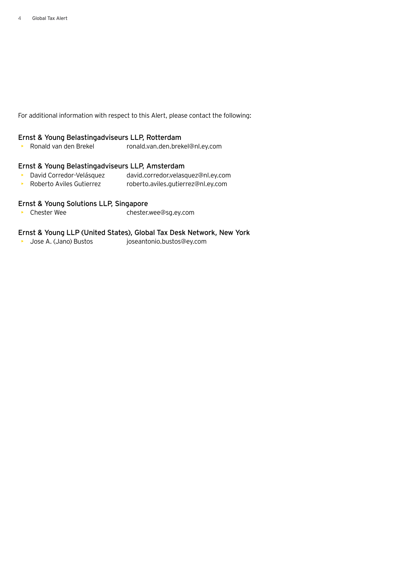For additional information with respect to this Alert, please contact the following:

## Ernst & Young Belastingadviseurs LLP, Rotterdam

• Ronald van den Brekel ronald.van.den.brekel@nl.ey.com

## Ernst & Young Belastingadviseurs LLP, Amsterdam

- David Corredor-Velásquez david.corredor.velasquez@nl.ey.com
- Roberto Aviles Gutierrez roberto.aviles.gutierrez@nl.ey.com

## Ernst & Young Solutions LLP, Singapore

• Chester Wee chester.wee@sg.ey.com

## Ernst & Young LLP (United States), Global Tax Desk Network, New York

• Jose A. (Jano) Bustos joseantonio.bustos@ey.com